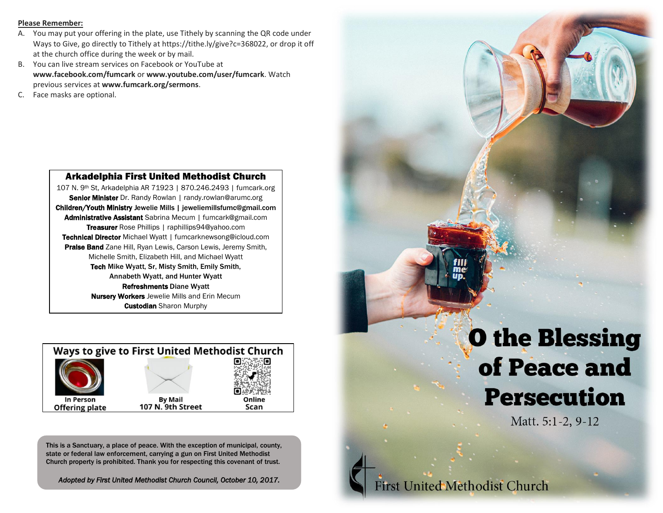#### **Please Remember:**

- A. You may put your offering in the plate, use Tithely by scanning the QR code under Ways to Give, go directly to Tithely at https://tithe.ly/give?c=368022, or drop it off at the church office during the week or by mail.
- B. You can live stream services on Facebook or YouTube at **www.facebook.com/fumcark** or **www.youtube.com/user/fumcark**. Watch previous services at **www.fumcark.org/sermons**.
- C. Face masks are optional.

### Arkadelphia First United Methodist Church

107 N. 9th St, Arkadelphia AR 71923 | 870.246.2493 | fumcark.org Senior Minister Dr. Randy Rowlan | randy.rowlan@arumc.org Children/Youth Ministry Jewelie Mills | jeweliemillsfumc@gmail.com Administrative Assistant Sabrina Mecum | fumcark@gmail.com Treasurer Rose Phillips | raphillips94@yahoo.com Technical Director Michael Wyatt | fumcarknewsong@icloud.com Praise Band Zane Hill, Ryan Lewis, Carson Lewis, Jeremy Smith, Michelle Smith, Elizabeth Hill, and Michael Wyatt Tech Mike Wyatt, Sr, Misty Smith, Emily Smith, Annabeth Wyatt, and Hunter Wyatt Refreshments Diane Wyatt **Nursery Workers** Jewelie Mills and Erin Mecum **Custodian** Sharon Murphy



This is a Sanctuary, a place of peace. With the exception of municipal, county, state or federal law enforcement, carrying a gun on First United Methodist Church property is prohibited. Thank you for respecting this covenant of trust.

*Adopted by First United Methodist Church Council, October 10, 2017.*

# **O the Blessing** of Peace and **Persecution**

Matt. 5:1-2, 9-12

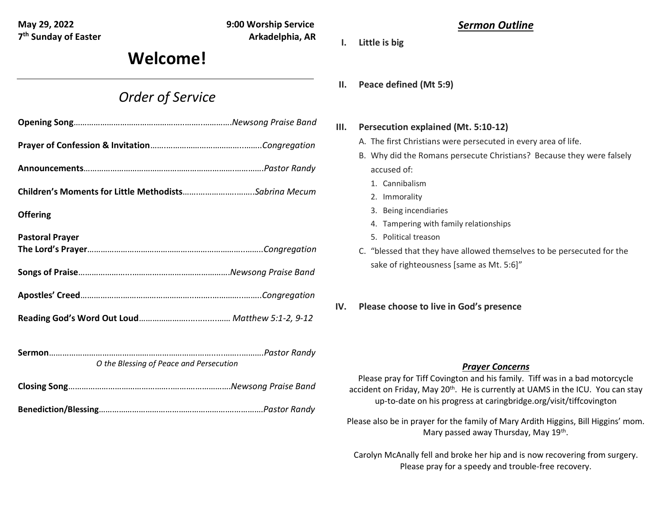**May 29, 2022 9:00 Worship Service 7<sup>th</sup> Sunday of Easter Arkadelphia, AR** 

*Sermon Outline*

**I. Little is big**

## **Welcome!**

## *Order of Service*

| <b>Offering</b>        |  |
|------------------------|--|
| <b>Pastoral Prayer</b> |  |
|                        |  |
|                        |  |
|                        |  |
|                        |  |
|                        |  |

**Sermon**………………………………………………………….…….....……..……….*Pastor Randy O the Blessing of Peace and Persecution*

**Benediction/Blessing**…………………………………………………….………….*Pastor Randy*

**II. Peace defined (Mt 5:9)**

## **III. Persecution explained (Mt. 5:10-12)**

- A. The first Christians were persecuted in every area of life.
- B. Why did the Romans persecute Christians? Because they were falsely accused of:
	- 1. Cannibalism
	- 2. Immorality
	- 3. Being incendiaries
	- 4. Tampering with family relationships
	- 5. Political treason
- C. "blessed that they have allowed themselves to be persecuted for the sake of righteousness [same as Mt. 5:6]"
- **IV. Please choose to live in God's presence**

#### *Prayer Concerns*

Please pray for Tiff Covington and his family. Tiff was in a bad motorcycle accident on Friday, May 20<sup>th</sup>. He is currently at UAMS in the ICU. You can stay up-to-date on his progress at caringbridge.org/visit/tiffcovington

Please also be in prayer for the family of Mary Ardith Higgins, Bill Higgins' mom. Mary passed away Thursday, May 19th.

Carolyn McAnally fell and broke her hip and is now recovering from surgery. Please pray for a speedy and trouble-free recovery.